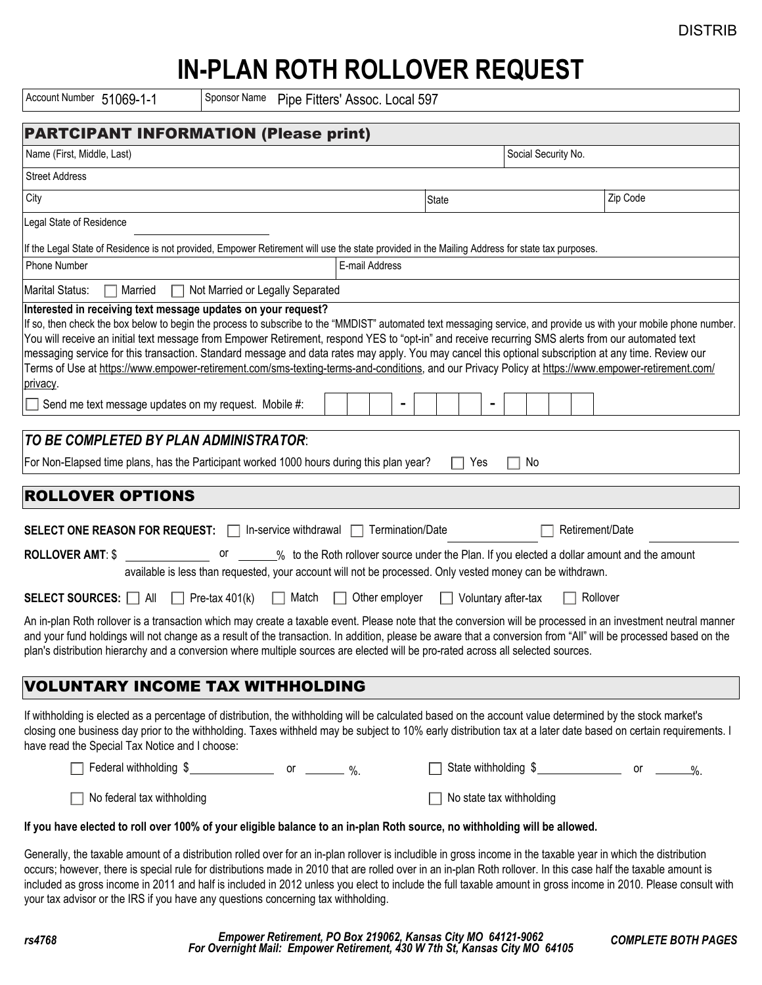## DISTRIB

## **IN-PLAN ROTH ROLLOVER REQUEST**

Account Number 51069-1-1 Sponsor Name

| Account Number 51069-1-1<br>Sponsor Name Pipe Fitters' Assoc. Local 597                                                                                                                                                                                                                                                                                                                                                                                                                                                                                                         |                                                                                                       |                                                  |          |  |
|---------------------------------------------------------------------------------------------------------------------------------------------------------------------------------------------------------------------------------------------------------------------------------------------------------------------------------------------------------------------------------------------------------------------------------------------------------------------------------------------------------------------------------------------------------------------------------|-------------------------------------------------------------------------------------------------------|--------------------------------------------------|----------|--|
| <b>PARTCIPANT INFORMATION (Please print)</b>                                                                                                                                                                                                                                                                                                                                                                                                                                                                                                                                    |                                                                                                       |                                                  |          |  |
| Name (First, Middle, Last)                                                                                                                                                                                                                                                                                                                                                                                                                                                                                                                                                      |                                                                                                       | Social Security No.                              |          |  |
| <b>Street Address</b>                                                                                                                                                                                                                                                                                                                                                                                                                                                                                                                                                           |                                                                                                       |                                                  |          |  |
| City                                                                                                                                                                                                                                                                                                                                                                                                                                                                                                                                                                            | State                                                                                                 |                                                  | Zip Code |  |
| Legal State of Residence                                                                                                                                                                                                                                                                                                                                                                                                                                                                                                                                                        |                                                                                                       |                                                  |          |  |
| If the Legal State of Residence is not provided, Empower Retirement will use the state provided in the Mailing Address for state tax purposes.                                                                                                                                                                                                                                                                                                                                                                                                                                  |                                                                                                       |                                                  |          |  |
| <b>Phone Number</b>                                                                                                                                                                                                                                                                                                                                                                                                                                                                                                                                                             | E-mail Address                                                                                        |                                                  |          |  |
| Marital Status:<br>Married<br>Not Married or Legally Separated<br>n.<br>$\mathsf{L}$                                                                                                                                                                                                                                                                                                                                                                                                                                                                                            |                                                                                                       |                                                  |          |  |
| You will receive an initial text message from Empower Retirement, respond YES to "opt-in" and receive recurring SMS alerts from our automated text<br>messaging service for this transaction. Standard message and data rates may apply. You may cancel this optional subscription at any time. Review our<br>Terms of Use at https://www.empower-retirement.com/sms-texting-terms-and-conditions, and our Privacy Policy at https://www.empower-retirement.com/<br>privacy.<br>Send me text message updates on my request. Mobile #:<br>TO BE COMPLETED BY PLAN ADMINISTRATOR: |                                                                                                       |                                                  |          |  |
| For Non-Elapsed time plans, has the Participant worked 1000 hours during this plan year?<br>No<br>Yes<br>$\mathbf{1}$<br>$\mathbf{L}$                                                                                                                                                                                                                                                                                                                                                                                                                                           |                                                                                                       |                                                  |          |  |
|                                                                                                                                                                                                                                                                                                                                                                                                                                                                                                                                                                                 |                                                                                                       |                                                  |          |  |
| <b>ROLLOVER OPTIONS</b>                                                                                                                                                                                                                                                                                                                                                                                                                                                                                                                                                         |                                                                                                       |                                                  |          |  |
| SELECT ONE REASON FOR REQUEST:   In-service withdrawal   Termination/Date                                                                                                                                                                                                                                                                                                                                                                                                                                                                                                       |                                                                                                       | Retirement/Date                                  |          |  |
| <b>ROLLOVER AMT: \$</b><br>available is less than requested, your account will not be processed. Only vested money can be withdrawn.                                                                                                                                                                                                                                                                                                                                                                                                                                            | or _______% to the Roth rollover source under the Plan. If you elected a dollar amount and the amount |                                                  |          |  |
| Match<br>$\Box$ Other employer<br>Rollover<br><b>SELECT SOURCES:</b> $\Box$ All $\Box$ Pre-tax 401(k)<br>$\Box$<br>Voluntary after-tax<br>$\Box$                                                                                                                                                                                                                                                                                                                                                                                                                                |                                                                                                       |                                                  |          |  |
| An in-plan Roth rollover is a transaction which may create a taxable event. Please note that the conversion will be processed in an investment neutral manner<br>and your fund holdings will not change as a result of the transaction. In addition, please be aware that a conversion from "All" will be processed based on the<br>plan's distribution hierarchy and a conversion where multiple sources are elected will be pro-rated across all selected sources                                                                                                             |                                                                                                       |                                                  |          |  |
| <b>VOLUNTARY INCOME TAX WITHHOLDING</b>                                                                                                                                                                                                                                                                                                                                                                                                                                                                                                                                         |                                                                                                       |                                                  |          |  |
| If withholding is elected as a percentage of distribution, the withholding will be calculated based on the account value determined by the stock market's<br>closing one business day prior to the withholding. Taxes withheld may be subject to 10% early distribution tax at a later date based on certain requirements. I<br>have read the Special Tax Notice and I choose:                                                                                                                                                                                                  |                                                                                                       |                                                  |          |  |
|                                                                                                                                                                                                                                                                                                                                                                                                                                                                                                                                                                                 |                                                                                                       | State withholding $\frac{2}{1}$ or $\frac{1}{2}$ |          |  |
| No federal tax withholding                                                                                                                                                                                                                                                                                                                                                                                                                                                                                                                                                      |                                                                                                       | No state tax withholding                         |          |  |
| If you have elected to roll over 100% of your eligible balance to an in-plan Roth source, no withholding will be allowed.                                                                                                                                                                                                                                                                                                                                                                                                                                                       |                                                                                                       |                                                  |          |  |
| Generally, the taxable amount of a distribution rolled over for an in-plan rollover is includible in gross income in the taxable year in which the distribution                                                                                                                                                                                                                                                                                                                                                                                                                 |                                                                                                       |                                                  |          |  |

Generally, the taxable amount of a distribution rolled over for an in-plan rollover is includible in gross income in the taxable year in which the distribution occurs; however, there is special rule for distributions made in 2010 that are rolled over in an in-plan Roth rollover. In this case half the taxable amount is included as gross income in 2011 and half is included in 2012 unless you elect to include the full taxable amount in gross income in 2010. Please consult with your tax advisor or the IRS if you have any questions concerning tax withholding.